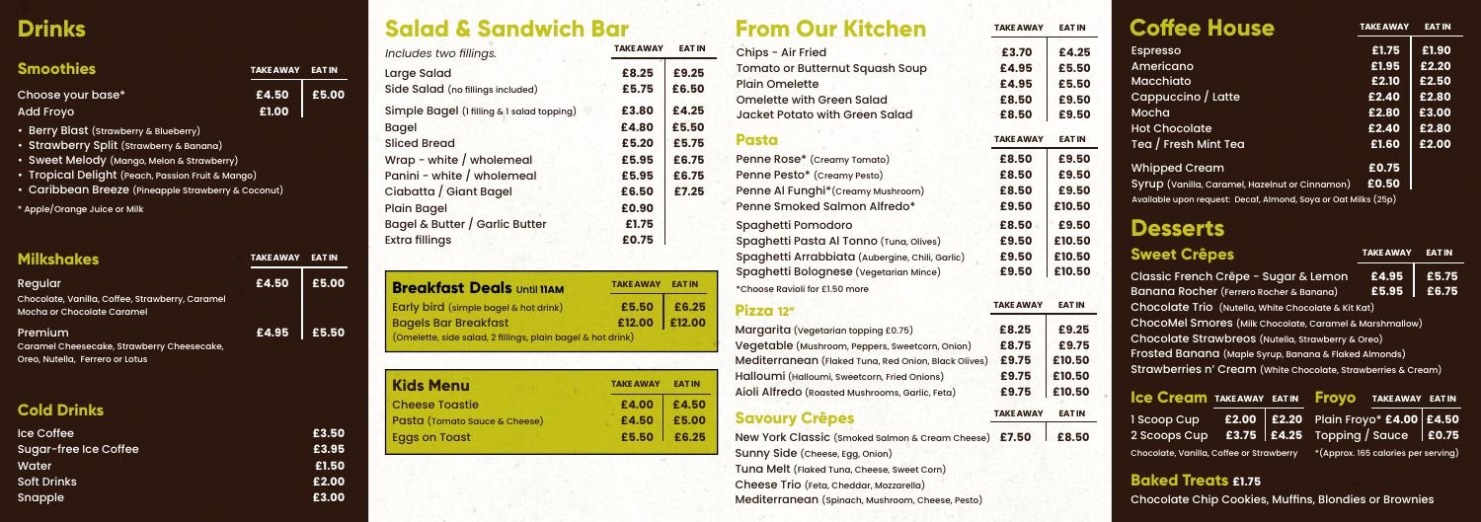Cheese Trio (Feta, Cheddar, Mozzarella)

Mediterranean (Spinach, Mushroom, Cheese, Pesto)

| Includes two fillings.                     | <b>TAKE AWAY</b> | <b>EATIN</b> |
|--------------------------------------------|------------------|--------------|
| Large Salad                                | £8.25            | £9.25        |
| Side Salad (no fillings included)          | £5.75            | £6.50        |
| Simple Bagel (1 filling & 1 salad topping) | £3.80            | £4.25        |
| <b>Bagel</b>                               | £4.80            | £5.50        |
| <b>Sliced Bread</b>                        | £5.20            | £5.75        |
| Wrap - white / wholemeal                   | £5.95            | £6.75        |
| Panini - white / wholemeal                 | £5.95            | £6.75        |
| Ciabatta / Giant Bagel                     | £6.50            | £7.25        |
| <b>Plain Bagel</b>                         | £0.90            |              |
| Bagel & Butter / Garlic Butter             | £1.75            |              |
| <b>Extra fillings</b>                      | £0.75            |              |
|                                            |                  |              |

| <b>Breakfast Deals Until 11AM</b>                           | <b>TAKE AWAY EAT IN</b> |  |
|-------------------------------------------------------------|-------------------------|--|
| Early bird (simple bagel & hot drink)                       | £5.50 £6.25             |  |
| <b>Bagels Bar Breakfast</b>                                 | £12.00 £12.00           |  |
| (Omelette, side salad, 2 fillings, plain bagel & hot drink) |                         |  |

| <b>Kids Menu</b>              | <b>TAKE AWAY</b> | <b>EAT IN</b> |
|-------------------------------|------------------|---------------|
| <b>Cheese Toastie</b>         | £4.00            | £4.50         |
| Pasta (Tomato Sauce & Cheese) | £4.50            | £5.00         |
| <b>Eggs on Toast</b>          | £5.50            | £6.25         |

| Salaa & Sanaw                                               |                         |               | From Our Kitchen                                                                        | TAKE AWAY        | <b>EAT IN</b> | Conee nouse                                                                                                      | <u>IANEAWAT</u>                   | <b>EALIN</b>   |
|-------------------------------------------------------------|-------------------------|---------------|-----------------------------------------------------------------------------------------|------------------|---------------|------------------------------------------------------------------------------------------------------------------|-----------------------------------|----------------|
| Includes two fillings.                                      | <b>TAKE AWAY</b>        | <b>EAT IN</b> | Chips - Air Fried                                                                       | £3.70            | £4.25         | <b>Espresso</b>                                                                                                  | £1.75                             | £1.90          |
| Large Salad                                                 | £8.25                   | £9.25         | Tomato or Butternut Squash Soup                                                         | £4.95            | £5.50         | Americano                                                                                                        | £1.95                             | £2.20          |
| Side Salad (no fillings included)                           | £5.75                   | £6.50         | <b>Plain Omelette</b>                                                                   | £4.95            | £5.50         | <b>Macchiato</b>                                                                                                 | £2.10                             | £2.50          |
| Simple Bagel (1 filling & 1 salad topping)                  | £3.80                   | £4.25         | Omelette with Green Salad                                                               | £8.50            | £9.50         | Cappuccino / Latte<br>Mocha                                                                                      | £2.40<br>£2.80                    | £2.80<br>£3.00 |
| Bagel                                                       | £4.80                   | £5.50         | <b>Jacket Potato with Green Salad</b>                                                   | £8.50            | £9.50         | <b>Hot Chocolate</b>                                                                                             | £2.40                             | £2.80          |
| <b>Sliced Bread</b>                                         | £5.20                   | £5.75         | <b>Pasta</b>                                                                            | <b>TAKE AWAY</b> | <b>EAT IN</b> | Tea / Fresh Mint Tea                                                                                             | £1.60                             | £2.00          |
| Wrap - white / wholemeal                                    | £5.95                   | £6.75         | Penne Rose* (Creamy Tomato)                                                             | £8.50            | £9.50         | <b>Whipped Cream</b>                                                                                             | £0.75                             |                |
| Panini - white / wholemeal                                  | £5.95                   | £6.75         | Penne Pesto* (Creamy Pesto)                                                             | £8.50            | £9.50         |                                                                                                                  | £0.50                             |                |
| Ciabatta / Giant Bagel                                      | £6.50                   | £7.25         | Penne Al Funghi* (Creamy Mushroom)                                                      | £8.50            | £9.50         | Syrup (Vanilla, Caramel, Hazelnut or Cinnamon)<br>Available upon request: Decaf, Almond, Soya or Oat Milks (25p) |                                   |                |
| Plain Bagel                                                 | £0.90                   |               | Penne Smoked Salmon Alfredo*                                                            | £9.50            | £10.50        |                                                                                                                  |                                   |                |
| Bagel & Butter / Garlic Butter                              | £1.75                   |               | Spaghetti Pomodoro                                                                      | £8.50            | £9.50         | <b>Desserts</b>                                                                                                  |                                   |                |
| Extra fillings                                              | £0.75                   |               | Spaghetti Pasta Al Tonno (Tuna, Olives)                                                 | £9.50            | £10.50        |                                                                                                                  |                                   |                |
|                                                             |                         |               | Spaghetti Arrabbiata (Aubergine, Chili, Garlic)                                         | £9.50            | £10.50        | <b>Sweet Crêpes</b>                                                                                              | <b>TAKE AWAY</b>                  | <b>EAT IN</b>  |
|                                                             |                         |               | Spaghetti Bolognese (Vegetarian Mince)                                                  | £9.50            | £10.50        | Classic French Crêpe - Sugar & Lemon                                                                             | £4.95                             | £5.7           |
| <b>Breakfast Deals Until 11AM</b>                           | <b>TAKE AWAY EAT IN</b> |               | *Choose Ravioli for £1.50 more                                                          |                  |               | Banana Rocher (Ferrero Rocher & Banana)                                                                          | £5.95                             | £6.7           |
| Early bird (simple bagel & hot drink)                       | £5.50                   | £6.25         | Pizza 12"                                                                               | <b>TAKE AWAY</b> | <b>EAT IN</b> | Chocolate Trio (Nutella, White Chocolate & Kit Kat)                                                              |                                   |                |
| <b>Bagels Bar Breakfast</b>                                 | £12.00                  | £12.00        |                                                                                         | £8.25            | £9.25         | ChocoMel Smores (Milk Chocolate, Caramel & Marshmallow)                                                          |                                   |                |
| (Omelette, side salad, 2 fillings, plain bagel & hot drink) |                         |               | Margarita (Vegetarian topping £0.75)<br>Vegetable (Mushroom, Peppers, Sweetcorn, Onion) | £8.75            | £9.75         | Chocolate Strawbreos (Nutella, Strawberry & Oreo)                                                                |                                   |                |
|                                                             |                         |               | Mediterranean (Flaked Tuna, Red Onion, Black Olives)                                    | £9.75            | £10.50        | Frosted Banana (Maple Syrup, Banana & Flaked Almonds)                                                            |                                   |                |
|                                                             |                         |               | Halloumi (Halloumi, Sweetcorn, Fried Onions)                                            | £9.75            | £10.50        | Strawberries n' Cream (White Chocolate, Strawberries & Cream)                                                    |                                   |                |
| <b>Kids Menu</b>                                            | <b>TAKE AWAY</b>        | <b>EAT IN</b> | Aioli Alfredo (Roasted Mushrooms, Garlic, Feta)                                         | £9.75            | £10.50        |                                                                                                                  |                                   |                |
| <b>Cheese Toastie</b>                                       | £4.00                   | £4.50         |                                                                                         |                  |               | <b>ICE Cream TAKEAWAY EATIN</b><br><b>Froyo</b>                                                                  | <b>TAKE AWAY EAT I</b>            |                |
| Pasta (Tomato Sauce & Cheese)                               | £4.50                   | £5.00         | <b>Savoury Crêpes</b>                                                                   | <b>TAKE AWAY</b> | <b>EAT IN</b> | £2.00   £2.20<br>I Scoop Cup                                                                                     | Plain Froyo* £4.00   £4.5         |                |
| <b>Eggs on Toast</b>                                        | £5.50                   | £6.25         | New York Classic (smoked Salmon & Cream Cheese) £7.50                                   |                  | £8.50         | £3.75   £4.25<br>2 Scoops Cup                                                                                    | Topping / Sauce                   | $ $ £0.7       |
|                                                             |                         |               | Sunny Side (Cheese, Egg, Onion)                                                         |                  |               | Chocolate, Vanilla, Coffee or Strawberry                                                                         | *(Approx. 165 calories per servin |                |
|                                                             |                         |               | Tuna Melt (Flaked Tuna, Cheese, Sweet Corn)                                             |                  |               |                                                                                                                  |                                   |                |

| <b>Coffee House</b>                                            | <b>TAKE AWAY</b> | <b>EAT IN</b> |
|----------------------------------------------------------------|------------------|---------------|
| <b>Espresso</b>                                                | £1.75            | £1.90         |
| Americano                                                      | £1.95            | £2.20         |
| <b>Macchiato</b>                                               | £2.10            | £2.50         |
| Cappuccino / Latte                                             | £2.40            | £2.80         |
| Mocha                                                          | £2.80            | £3.00         |
| <b>Hot Chocolate</b>                                           | £2.40            | £2.80         |
| Tea / Fresh Mint Tea                                           | £1.60            | £2.00         |
| <b>Whipped Cream</b>                                           | £0.75            |               |
| Syrup (Vanilla, Caramel, Hazelnut or Cinnamon)                 | £0.50            |               |
| Available upon request: Decaf, Almond, Soya or Oat Milks (25p) |                  |               |

## **Desserts**

# **Drinks**

**Smo** 

## **Cold Drinks**

|  |  | <b>Ice Cream TAKE AWAY EAT IN</b> |  |
|--|--|-----------------------------------|--|
|--|--|-----------------------------------|--|

### **Baked Treats £1.75**

| <b>Ice Coffee</b>     | £3.50 |
|-----------------------|-------|
| Sugar-free Ice Coffee | £3.95 |
| Water                 | £1.50 |
| <b>Soft Drinks</b>    | £2.00 |
| Snapple               | £3.00 |

# **Salad & Sandwich Bar From Our Kitchen**

| <b>Milkshakes</b>                               | TAKE AWAY | <b>EAT IN</b> |
|-------------------------------------------------|-----------|---------------|
| Regular                                         | £4.50     | £5.00         |
| Chocolate, Vanilla, Coffee, Strawberry, Caramel |           |               |
| Mocha or Chocolate Caramel                      |           |               |
| Premium                                         | £4.95     | £5.50         |
| Caramel Cheesecake, Strawberry Cheesecake,      |           |               |
| Oreo, Nutella, Ferrero or Lotus                 |           |               |

| <b>Smoothies</b>  | TAKE AWAY EAT IN |       |
|-------------------|------------------|-------|
| Choose your base* | £4.50            | E5.00 |
| Add Froyo         | £1.00            |       |

| <b>Sweet Crêpes</b>                                           | <b>TAKE AWAY</b> | <b>EAT IN</b> |
|---------------------------------------------------------------|------------------|---------------|
| Classic French Crêpe - Sugar & Lemon                          | £4.95            | £5.75         |
| Banana Rocher (Ferrero Rocher & Banana)                       | £5.95            | £6.75         |
| Chocolate Trio (Nutella, White Chocolate & Kit Kat)           |                  |               |
| ChocoMel Smores (Milk Chocolate, Caramel & Marshmallow)       |                  |               |
| Chocolate Strawbreos (Nutella, Strawberry & Oreo)             |                  |               |
| Frosted Banana (Maple Syrup, Banana & Flaked Almonds)         |                  |               |
| Strawberries n' Cream (White Chocolate, Strawberries & Cream) |                  |               |
|                                                               |                  |               |

| Plain Froyo* £4.00 £4.50 |  |
|--------------------------|--|
| Topping / Sauce   £0.75  |  |

\*(Approx. 165 calories per serving)

Chocolate Chip Cookies, Muffins, Blondies or Brownies

- Berry Blast (Strawberry & Blueberry)
- Strawberry Split (Strawberry & Banana)
- Sweet Melody (Mango, Melon & Strawberry)
- Tropical Delight (Peach, Passion Fruit & Mango)
- Caribbean Breeze (Pineapple Strawberry & Coconut)
- \* Apple/Orange Juice or Milk